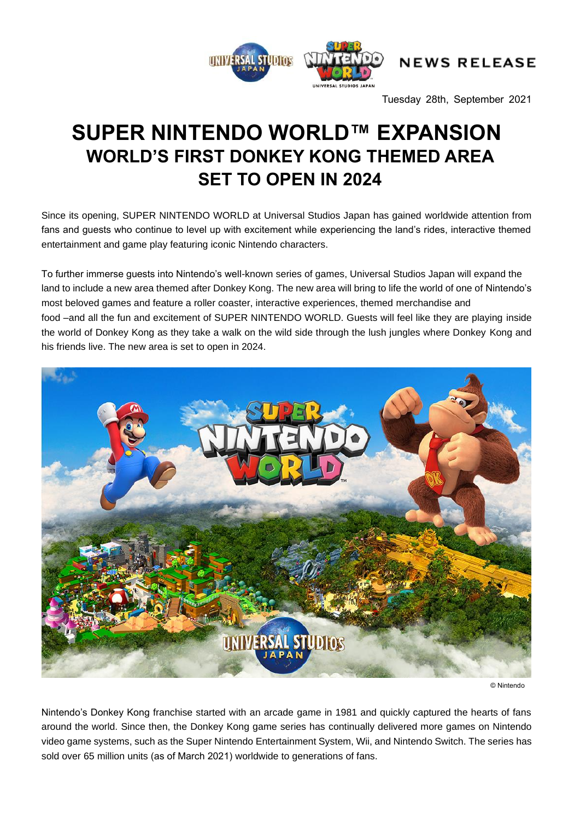

Tuesday 28th, September 2021

# **SUPER NINTENDO WORLD™ EXPANSION WORLD'S FIRST DONKEY KONG THEMED AREA SET TO OPEN IN 2024**

Since its opening, SUPER NINTENDO WORLD at Universal Studios Japan has gained worldwide attention from fans and guests who continue to level up with excitement while experiencing the land's rides, interactive themed entertainment and game play featuring iconic Nintendo characters.

To further immerse guests into Nintendo's well-known series of games, Universal Studios Japan will expand the land to include a new area themed after Donkey Kong. The new area will bring to life the world of one of Nintendo's most beloved games and feature a roller coaster, interactive experiences, themed merchandise and food –and all the fun and excitement of SUPER NINTENDO WORLD. Guests will feel like they are playing inside the world of Donkey Kong as they take a walk on the wild side through the lush jungles where Donkey Kong and his friends live. The new area is set to open in 2024.



© Nintendo

Nintendo's Donkey Kong franchise started with an arcade game in 1981 and quickly captured the hearts of fans around the world. Since then, the Donkey Kong game series has continually delivered more games on Nintendo video game systems, such as the Super Nintendo Entertainment System, Wii, and Nintendo Switch. The series has sold over 65 million units (as of March 2021) worldwide to generations of fans.